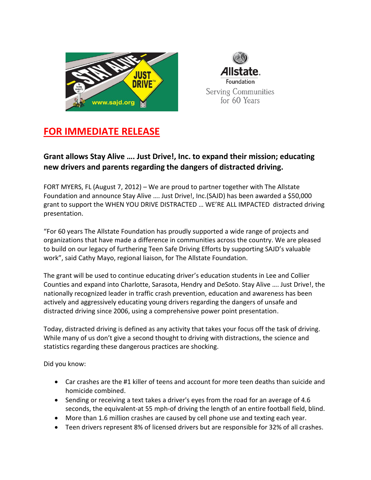



## **FOR IMMEDIATE RELEASE**

## **Grant allows Stay Alive …. Just Drive!, Inc. to expand their mission; educating new drivers and parents regarding the dangers of distracted driving.**

FORT MYERS, FL (August 7, 2012) – We are proud to partner together with The Allstate Foundation and announce Stay Alive …. Just Drive!, Inc.(SAJD) has been awarded a \$50,000 grant to support the WHEN YOU DRIVE DISTRACTED … WE'RE ALL IMPACTED distracted driving presentation.

"For 60 years The Allstate Foundation has proudly supported a wide range of projects and organizations that have made a difference in communities across the country. We are pleased to build on our legacy of furthering Teen Safe Driving Efforts by supporting SAJD's valuable work", said Cathy Mayo, regional liaison, for The Allstate Foundation.

The grant will be used to continue educating driver's education students in Lee and Collier Counties and expand into Charlotte, Sarasota, Hendry and DeSoto. Stay Alive …. Just Drive!, the nationally recognized leader in traffic crash prevention, education and awareness has been actively and aggressively educating young drivers regarding the dangers of unsafe and distracted driving since 2006, using a comprehensive power point presentation.

Today, distracted driving is defined as any activity that takes your focus off the task of driving. While many of us don't give a second thought to driving with distractions, the science and statistics regarding these dangerous practices are shocking.

Did you know:

- Car crashes are the #1 killer of teens and account for more teen deaths than suicide and homicide combined.
- Sending or receiving a text takes a driver's eyes from the road for an average of 4.6 seconds, the equivalent-at 55 mph-of driving the length of an entire football field, blind.
- More than 1.6 million crashes are caused by cell phone use and texting each year.
- Teen drivers represent 8% of licensed drivers but are responsible for 32% of all crashes.